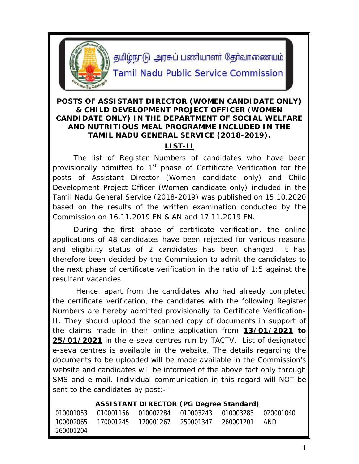

தமிழ்நாடு அரசுப் பணியாளர் தேர்வாணையம்

# **Tamil Nadu Public Service Commission**

## **POSTS OF ASSISTANT DIRECTOR (WOMEN CANDIDATE ONLY) & CHILD DEVELOPMENT PROJECT OFFICER (WOMEN CANDIDATE ONLY) IN THE DEPARTMENT OF SOCIAL WELFARE AND NUTRITIOUS MEAL PROGRAMME INCLUDED IN THE TAMIL NADU GENERAL SERVICE (2018-2019).**

## **LIST-II**

The list of Register Numbers of candidates who have been provisionally admitted to  $1<sup>st</sup>$  phase of Certificate Verification for the posts of Assistant Director (Women candidate only) and Child Development Project Officer (Women candidate only) included in the Tamil Nadu General Service (2018-2019) was published on 15.10.2020 based on the results of the written examination conducted by the Commission on 16.11.2019 FN & AN and 17.11.2019 FN.

During the first phase of certificate verification, the online applications of 48 candidates have been rejected for various reasons and eligibility status of 2 candidates has been changed. It has therefore been decided by the Commission to admit the candidates to the next phase of certificate verification in the ratio of 1:5 against the resultant vacancies.

Hence, apart from the candidates who had already completed the certificate verification, the candidates with the following Register Numbers are hereby admitted provisionally to Certificate Verification-II. They should upload the scanned copy of documents in support of the claims made in their online application from **13/01/2021 to 25/01/2021** in the e-seva centres run by TACTV. List of designated e-seva centres is available in the website. The details regarding the documents to be uploaded will be made available in the Commission's website and candidates will be informed of the above fact only through SMS and e-mail. Individual communication in this regard will NOT be sent to the candidates by post:-"

### **ASSISTANT DIRECTOR (PG Degree Standard)**

|           |  | 010001053   010001156   010002284   010003243   010003283   020001040 |  |
|-----------|--|-----------------------------------------------------------------------|--|
|           |  |                                                                       |  |
| 260001204 |  |                                                                       |  |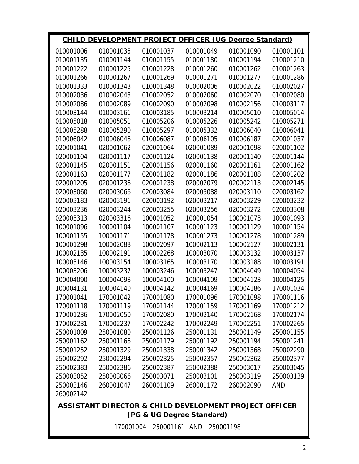| <b>CHILD DEVELOPMENT PROJECT OFFICER (UG Degree Standard)</b> |           |           |           |           |            |  |  |  |
|---------------------------------------------------------------|-----------|-----------|-----------|-----------|------------|--|--|--|
| 010001006                                                     | 010001035 | 010001037 | 010001049 | 010001090 | 010001101  |  |  |  |
| 010001135                                                     | 010001144 | 010001155 | 010001180 | 010001194 | 010001210  |  |  |  |
| 010001222                                                     | 010001225 | 010001228 | 010001260 | 010001262 | 010001263  |  |  |  |
| 010001266                                                     | 010001267 | 010001269 | 010001271 | 010001277 | 010001286  |  |  |  |
| 010001333                                                     | 010001343 | 010001348 | 010002006 | 010002022 | 010002027  |  |  |  |
| 010002036                                                     | 010002043 | 010002052 | 010002060 | 010002070 | 010002080  |  |  |  |
| 010002086                                                     | 010002089 | 010002090 | 010002098 | 010002156 | 010003117  |  |  |  |
| 010003144                                                     | 010003161 | 010003185 | 010003214 | 010005010 | 010005014  |  |  |  |
| 010005018                                                     | 010005051 | 010005206 | 010005226 | 010005242 | 010005271  |  |  |  |
| 010005288                                                     | 010005290 | 010005297 | 010005332 | 010006040 | 010006041  |  |  |  |
| 010006042                                                     | 010006046 | 010006087 | 010006105 | 010006187 | 020001037  |  |  |  |
| 020001041                                                     | 020001062 | 020001064 | 020001089 | 020001098 | 020001102  |  |  |  |
| 020001104                                                     | 020001117 | 020001124 | 020001138 | 020001140 | 020001144  |  |  |  |
| 020001145                                                     | 020001151 | 020001156 | 020001160 | 020001161 | 020001162  |  |  |  |
| 020001163                                                     | 020001177 | 020001182 | 020001186 | 020001188 | 020001202  |  |  |  |
| 020001205                                                     | 020001236 | 020001238 | 020002079 | 020002113 | 020002145  |  |  |  |
| 020003060                                                     | 020003066 | 020003084 | 020003088 | 020003110 | 020003162  |  |  |  |
| 020003183                                                     | 020003191 | 020003192 | 020003217 | 020003229 | 020003232  |  |  |  |
| 020003236                                                     | 020003244 | 020003255 | 020003256 | 020003272 | 020003308  |  |  |  |
| 020003313                                                     | 020003316 | 100001052 | 100001054 | 100001073 | 100001093  |  |  |  |
| 100001096                                                     | 100001104 | 100001107 | 100001123 | 100001129 | 100001154  |  |  |  |
| 100001155                                                     | 100001171 | 100001178 | 100001273 | 100001278 | 100001289  |  |  |  |
| 100001298                                                     | 100002088 | 100002097 | 100002113 | 100002127 | 100002131  |  |  |  |
| 100002135                                                     | 100002191 | 100002268 | 100003070 | 100003132 | 100003137  |  |  |  |
| 100003146                                                     | 100003154 | 100003165 | 100003170 | 100003188 | 100003191  |  |  |  |
| 100003206                                                     | 100003237 | 100003246 | 100003247 | 100004049 | 100004054  |  |  |  |
| 100004090                                                     | 100004098 | 100004100 | 100004109 | 100004123 | 100004125  |  |  |  |
| 100004131                                                     | 100004140 | 100004142 | 100004169 | 100004186 | 170001034  |  |  |  |
| 170001041                                                     | 170001042 | 170001080 | 170001096 | 170001098 | 170001116  |  |  |  |
| 170001118                                                     | 170001119 | 170001144 | 170001159 | 170001169 | 170001212  |  |  |  |
| 170001236                                                     | 170002050 | 170002080 | 170002140 | 170002168 | 170002174  |  |  |  |
| 170002231                                                     | 170002237 | 170002242 | 170002249 | 170002251 | 170002265  |  |  |  |
| 250001009                                                     | 250001080 | 250001126 | 250001131 | 250001149 | 250001155  |  |  |  |
| 250001162                                                     | 250001166 | 250001179 | 250001192 | 250001194 | 250001241  |  |  |  |
| 250001252                                                     | 250001329 | 250001338 | 250001342 | 250001368 | 250002290  |  |  |  |
| 250002292                                                     | 250002294 | 250002325 | 250002357 | 250002362 | 250002377  |  |  |  |
| 250002383                                                     | 250002386 | 250002387 | 250002388 | 250003017 | 250003045  |  |  |  |
| 250003052                                                     | 250003066 | 250003071 | 250003101 | 250003119 | 250003139  |  |  |  |
| 250003146                                                     | 260001047 | 260001109 | 260001172 | 260002090 | <b>AND</b> |  |  |  |
| 260002142                                                     |           |           |           |           |            |  |  |  |
| ASSISTANT DIRECTOR & CHILD DEVELOPMENT PROJECT OFFICER        |           |           |           |           |            |  |  |  |
| (PG & UG Degree Standard)                                     |           |           |           |           |            |  |  |  |

170001004 250001161 AND 250001198